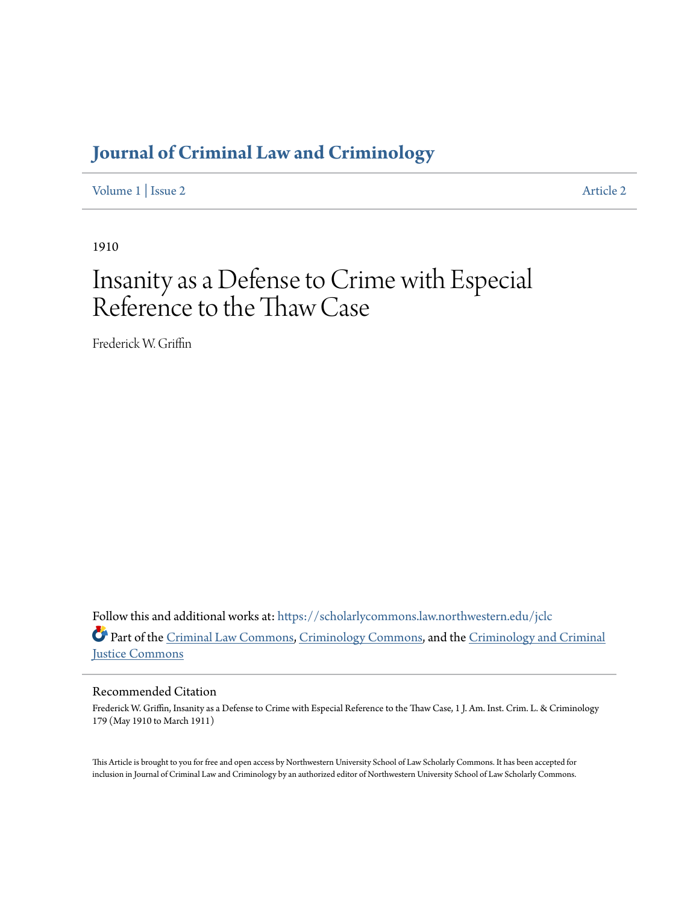# **[Journal of Criminal Law and Criminology](https://scholarlycommons.law.northwestern.edu/jclc?utm_source=scholarlycommons.law.northwestern.edu%2Fjclc%2Fvol1%2Fiss2%2F2&utm_medium=PDF&utm_campaign=PDFCoverPages)**

[Volume 1](https://scholarlycommons.law.northwestern.edu/jclc/vol1?utm_source=scholarlycommons.law.northwestern.edu%2Fjclc%2Fvol1%2Fiss2%2F2&utm_medium=PDF&utm_campaign=PDFCoverPages) | [Issue 2](https://scholarlycommons.law.northwestern.edu/jclc/vol1/iss2?utm_source=scholarlycommons.law.northwestern.edu%2Fjclc%2Fvol1%2Fiss2%2F2&utm_medium=PDF&utm_campaign=PDFCoverPages) [Article 2](https://scholarlycommons.law.northwestern.edu/jclc/vol1/iss2/2?utm_source=scholarlycommons.law.northwestern.edu%2Fjclc%2Fvol1%2Fiss2%2F2&utm_medium=PDF&utm_campaign=PDFCoverPages)

1910

# Insanity as a Defense to Crime with Especial Reference to the Thaw Case

Frederick W. Griffin

Follow this and additional works at: [https://scholarlycommons.law.northwestern.edu/jclc](https://scholarlycommons.law.northwestern.edu/jclc?utm_source=scholarlycommons.law.northwestern.edu%2Fjclc%2Fvol1%2Fiss2%2F2&utm_medium=PDF&utm_campaign=PDFCoverPages) Part of the [Criminal Law Commons](http://network.bepress.com/hgg/discipline/912?utm_source=scholarlycommons.law.northwestern.edu%2Fjclc%2Fvol1%2Fiss2%2F2&utm_medium=PDF&utm_campaign=PDFCoverPages), [Criminology Commons](http://network.bepress.com/hgg/discipline/417?utm_source=scholarlycommons.law.northwestern.edu%2Fjclc%2Fvol1%2Fiss2%2F2&utm_medium=PDF&utm_campaign=PDFCoverPages), and the [Criminology and Criminal](http://network.bepress.com/hgg/discipline/367?utm_source=scholarlycommons.law.northwestern.edu%2Fjclc%2Fvol1%2Fiss2%2F2&utm_medium=PDF&utm_campaign=PDFCoverPages) [Justice Commons](http://network.bepress.com/hgg/discipline/367?utm_source=scholarlycommons.law.northwestern.edu%2Fjclc%2Fvol1%2Fiss2%2F2&utm_medium=PDF&utm_campaign=PDFCoverPages)

## Recommended Citation

Frederick W. Griffin, Insanity as a Defense to Crime with Especial Reference to the Thaw Case, 1 J. Am. Inst. Crim. L. & Criminology 179 (May 1910 to March 1911)

This Article is brought to you for free and open access by Northwestern University School of Law Scholarly Commons. It has been accepted for inclusion in Journal of Criminal Law and Criminology by an authorized editor of Northwestern University School of Law Scholarly Commons.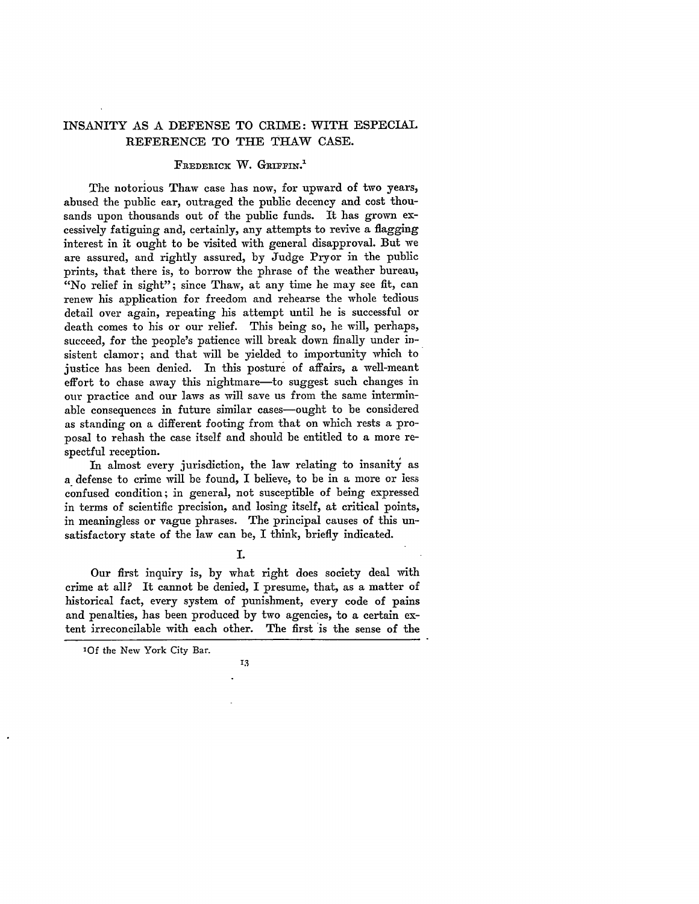# INSANITY AS A DEFENSE TO CRIME: WITH ESPECIAL REFERENCE TO THE THAW CASE.

### FREDERICK W. GRIFFIN.<sup>1</sup>

The notorious Thaw case has now, for upward of two years, abused the public ear, outraged the public decency and cost thousands upon thousands out of the public funds. It has grown excessively fatiguing and, certainly, any attempts to revive a flagging interest in it ought to be visited with general disapproval. But we are assured, and rightly assured, by Judge Pryor in the public prints, that there is, to borrow the phrase of the weather bureau, "No relief in sight"; since Thaw, at any time he may see fit, can renew his application for freedom and rehearse the whole tedious detail over again, repeating his attempt until he is successful or death comes to his or our relief. This being so, he will, perhaps, succeed, for the people's patience will break down finally under insistent clamor; and that will be yielded to importunity which to justice has been denied. In this posture of affairs, a well-meant effort to chase away this nightmare—to suggest such changes in our practice and our laws as will save us from the same interminable consequences in future similar cases—ought to be considered as standing on a different footing from that on which rests a proposal to rehash the case itself and should be entitled to a more respectful reception.

In almost every jurisdiction, the law relating to insanity as a defense to crime will be found, I believe, to be in a more or less confused condition; in general, not susceptible of being expressed in terms of scientific precision, and losing itself, at critical points, in meaningless or vague phrases. The principal causes of this unsatisfactory state of the law can be, I think, briefly indicated.

#### I.

Our first inquiry is, by what right does society deal with crime at all? It cannot be denied, I presume, that, as a matter of historical fact, every system of punishment, every code of pains and penalties, has been produced by two agencies, to a certain extent irreconcilable with each other. The first is the sense of the

13

**<sup>&</sup>quot;Of** the New York City Bar.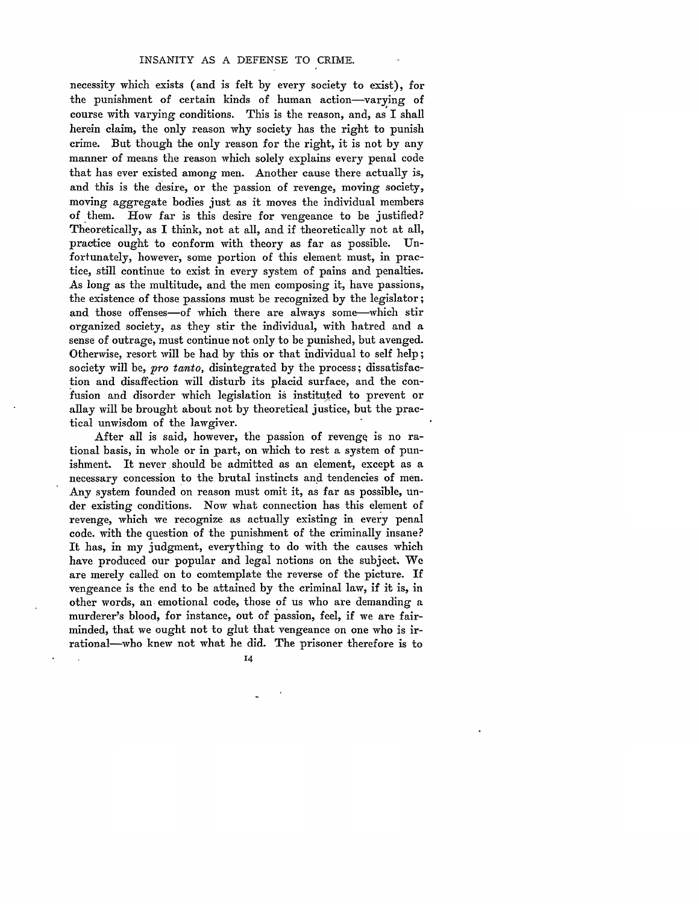necessity which exists (and is felt by every society to exist), for the punishment of certain kinds of human action-varying of course with varying conditions. This is the reason, and, as I shall herein claim, the only reason why society has the right to punish crime. IBut though the only reason for the right, it is not by any manner of means the reason which solely explains every penal code that has ever existed among men. Another cause there actually is, and this is the desire, or the passion of revenge, moving society, moving aggregate bodies just as it moves the individual members of them. How far is this desire for vengeance to be justified? Theoretically, as I think, not at all, and if theoretically not at all, practice ought to conform with theory as far as possible. Unfortunately, however, some portion of this element must, in practice, still continue to exist in every system of pains and penalties. As long as the multitude, and the men composing it, have passions, the existence of those passions must be recognized by the legislator; and those offenses-of which there are always some-which stir organized society, as they stir the individual, with hatred and a sense of outrage, must continue not only to be punished, but avenged. Otherwise, resort will be had by this or that individual to self help; society will be, *pro tanto,* disintegrated by the process; dissatisfaction and disaffection will disturb its placid surface, and the confusion and disorder which legislation is instituted to prevent or allay will be brought about not by theoretical justice, but the practical unwisdom of the lawgiver.

After all is said, however, the passion of revengq is no rational basis, in whole or in part, on which to rest a system of punishment. It never should be admitted as an element, except as a necessary concession to the brutal instincts and tendencies of men. Any system founded on reason must omit it, as far as possible, under existing conditions. Now what connection has this element of revenge, which we recognize as actually existing in every penal code. with the question of the punishment of the criminally insane? It has, in my judgment, everything to do with the causes which have produced our popular and legal notions on the subject. We are merely called on to comtemplate the reverse of the picture. If vengeance is the end to be attained by the criminal law, if it is, in other words, an emotional code, those of us who are demanding a murderer's blood, for instance, out of passion, feel, if we are fairminded, that we ought not to glut that vengeance on one who is irrational-who knew not what he did. The prisoner therefore is to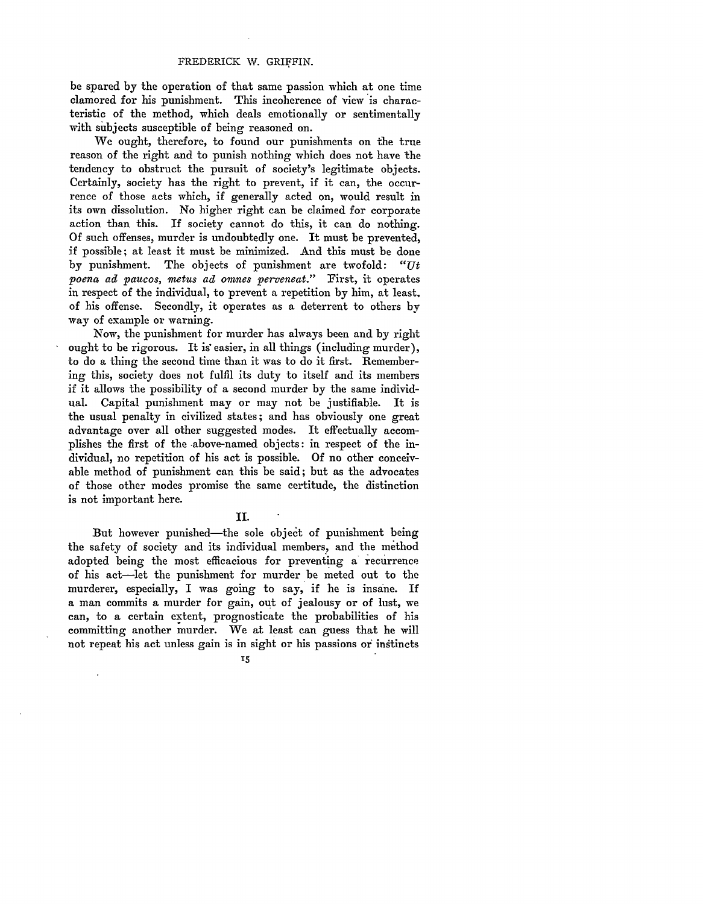### FREDERICK W. GRIFFIN.

be spared by the operation of that same passion which at one time clamored for his punishment. This incoherence of view is characteristic of the method, which deals emotionally or sentimentally with subjects susceptible of being reasoned on.

We ought, therefore, to found our punishments on the true reason of the right and to punish nothing which does not have 'the tendency to obstruct the pursuit of society's legitimate objects. Certainly, society has the right to prevent, if it can, the occurrence of those acts which, if generally acted on, would result in its own dissolution. No higher right can be claimed for corporate action than this. If society cannot do this, it can do nothing. Of such offenses, murder is undoubtedly one. It must be prevented, if possible; at least it must be minimized. And this must be done **by** punishment. The objects of punishment are twofold: *"Ut poena ad paucos, metus ad omnes perveneat."* First, it operates in respect of the individual, to prevent a repetition by him, at least, of his offense. Secondly, it operates as a deterrent to others by way of example or warning.

Now, the punishment for murder has always been and by right ought to be rigorous. It is easier, in all things (including murder), to do a thing the second time than it was to do it first. Remembering this, society does not fulfil its duty to itself and its members if it allows the possibility of a second murder by the same individual. Capital punishment may or may not be justifiable. It is the usual penalty in civilized states; and has obviously one great advantage over all other suggested modes. It effectually accomplishes the first of the -above-named objects: in respect of the individual, no repetition of his act is possible. Of no other conceivable method of punishment can this be said; but as the advocates of those other modes promise the same certitude, the distinction is not important here.

### **II.**

But however punished-the sole object of punishment being the safety of society and its individual members, and the method adopted being the most efficacious for preventing a recurrence of his act-let the punishment for murder be meted out to the murderer, especially, I was going to say, if he is insane. If a man commits a murder for gain, out of jealousy or of lust, we can, to a certain extent, prognosticate the probabilities of his committing another murder. We at least can guess that he will not repeat his act unless gain is in sight or his passions or instincts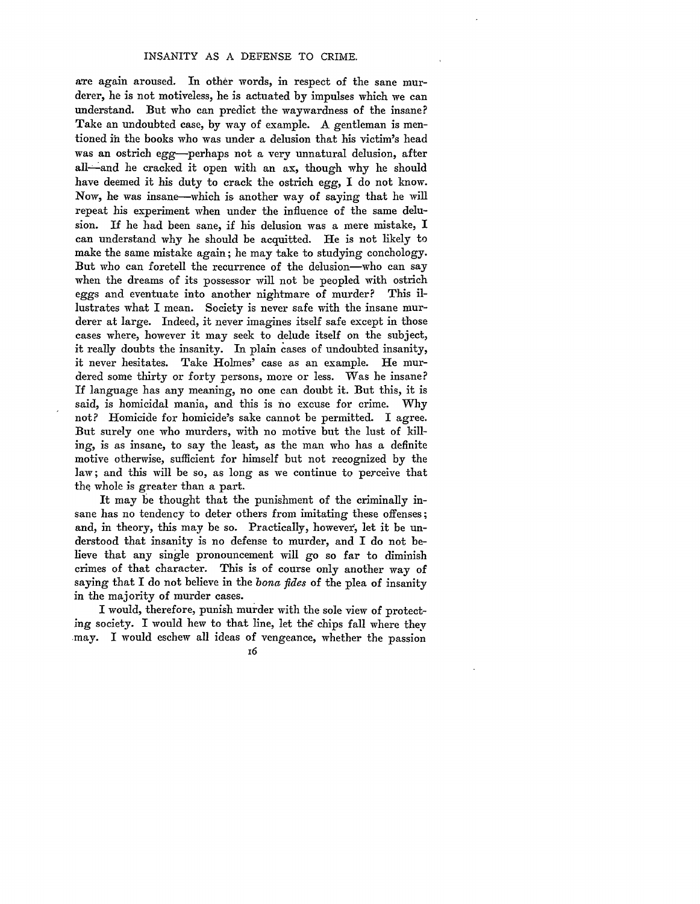are again aroused. In other words, in respect of the sane murderer, he is not motiveless, he is actuated by impulses which we can understand. But who can predict the waywardness of the insane? Take an undoubted case, by way of example. A gentleman is mentioned in the books who was under a delusion that his victim's head was an ostrich egg-perhaps not a very unnatural delusion, after all-and he cracked it open with an ax, though why he should have deemed it his duty to crack the ostrich egg, I do not know. Now, he was insane-which is another way of saying that he will repeat his experiment when under the influence of the same delusion. If he bad been sane, if his delusion was a mere mistake, I can understand why he should be acquitted. He is not likely to make the same mistake again; he may take to studying conchology. But who can foretell the recurrence of the delusion-who can say when the dreams of its possessor will not be peopled with ostrich eggs and eventuate into another nightmare of murder? This illustrates what I mean. Society is never safe with the insane murderer at large. Indeed, it never imagines itself safe except in those cases where, however it may seek to delude itself on the subject, it really doubts the insanity. In plain cases of undoubted insanity, it never hesitates. Take Holmes' case as an example. He murdered some thirty or forty persons, more or less. Was he insane? If language has any meaning, no one can doubt it. But this, it is said, is homicidal mania, and this is no excuse for crime. Why not? Homicide for homicide's sake cannot be permitted. I agree. But surely one who murders, with no motive but the lust of killing, is as insane, to say the least, as the man who has a definite motive otherwise, sufficient for himself but not recognized by the law; and this will be so, as long as we continue to perceive that the whole is greater than a part.

It may be thought that the punishment of the criminally insane has no tendency to deter others from imitating these offenses; and, in theory, this may be so. Practically, however, let it be understood that insanity is no defense to murder, and I do not believe that any single pronouncement will go so far to diminish crimes of that character. This is of course only another way of saying that I do not believe in the *bona fides* of the plea of insanity in the majority of murder cases.

I would, therefore, punish murder with the sole view of protecting society. I would hew to that line, let the chips fall where they may. I would eschew all ideas of vengeance, whether the passion

*i6*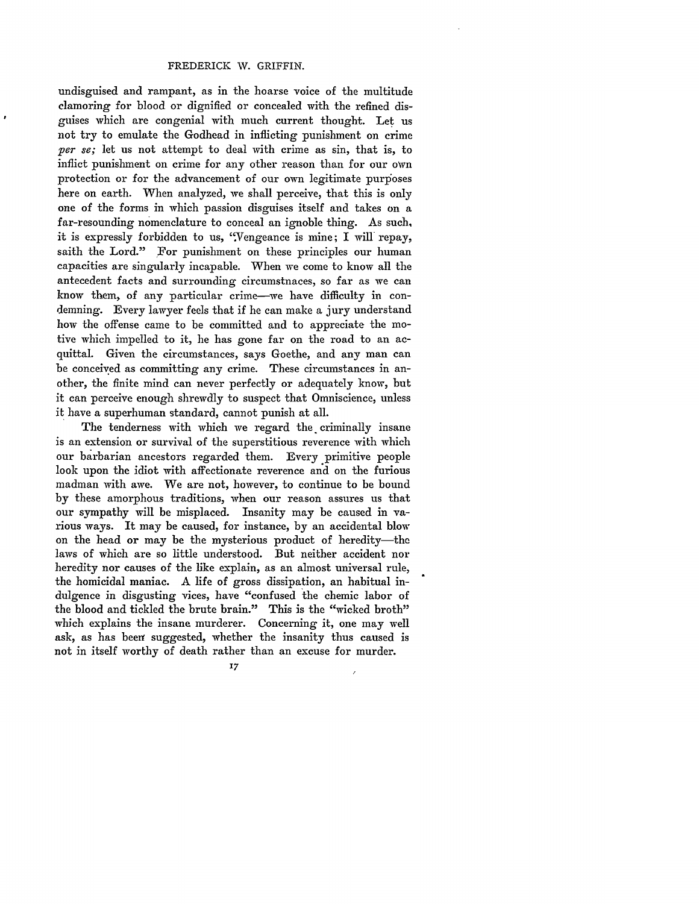undisguised and rampant, as in the hoarse voice of the multitude clamoring for blood or dignified or concealed with the refined disguises which are congenial with much current thought. Let us not try to emulate the Godhead in inflicting punishment on crime *per se;* let us not attempt to deal with crime as sin, that is, to inflict punishment on crime for any other reason than for our own protection or for the advancement of our own legitimate purposes here on earth. When analyzed, we shall perceive, that this is only one of the forms in which passion disguises itself and takes on a far-resounding nomenclature to conceal an ignoble thing. As such, it is expressly forbidden to us, "Vengeance is mine; I will repay, saith the Lord." For punishment on these principles our human capacities are singularly incapable. When we come to know all the antecedent facts and surrounding circumstnaces, so far as we can know them, of any particular crime-we have difficulty in condemning. Every lawyer feels that if he can make a jury understand **how** the offense came to be committed and to appreciate the motive which impelled to it, he has gone far on the road to an acquittal. Given the circumstances, says Goethe, and any man can be conceived as committing any crime. These circumstances in another, the finite mind can never perfectly or adequately know, but it can perceive enough shrewdly to suspect that Omniscience, unless it have a superhuman standard, cannot punish at all.

The tenderness with which we regard the criminally insane is an extension or survival of the superstitious reverence with which our barbarian ancestors regarded them. Every primitive people look upon the idiot with affectionate reverence and on the furious madman with awe. We are not, however, to continue to be bound **by** these amorphous traditions, when our reason assures us that our sympathy will be misplaced. Insanity may be caused in various ways. It may be caused, for instance, by an accidental blow on the head or may be the mysterious product of heredity-the laws of which are so little understood. But neither accident nor heredity nor causes of the like explain, as an almost universal rule, the homicidal maniac. A life of gross dissipation, an habitual indulgence in disgusting vices, have "confused the chemic labor of the blood and tickled the brute brain." This is the "wicked broth" which explains the insane murderer. Concerning it, one may well ask, as has been suggested, whether the insanity thus caused is not in itself worthy of death rather than an excuse for murder.

 $I7$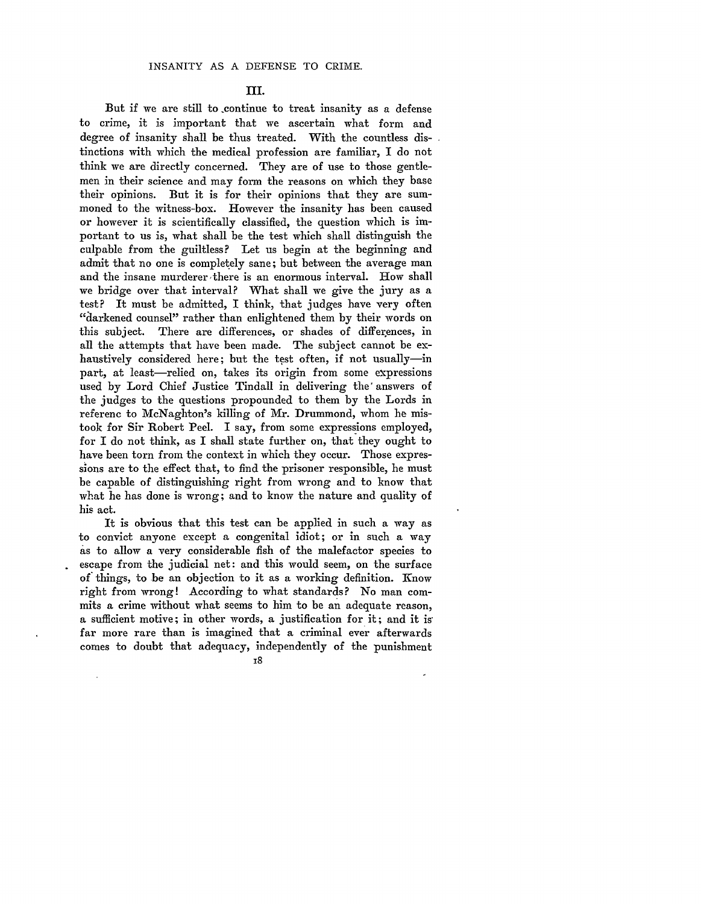### III.

But if we are still to .continue to treat insanity as a defense to crime, it is important that we ascertain what form and degree of insanity shall be thus treated. With the countless distinctions with which the medical profession are familiar, I do not think we are directly concerned. They are of use to those gentlemen in their science and may form the reasons on which they base their opinions. But it is for their opinions that they are summoned to the witness-box. However the insanity has been caused or however it is scientifically classified, the question which is important to us is, what shall be the test which shall distinguish the culpable from the guiltless? Let us begin at the beginning and admit that no one is completely sane; but between the average man and the insane murderer there is an enormous interval. How shall we bridge over that interval? What shall we give the jury as a test? It must be admitted, I think, that judges have very often "darkened counsel" rather than enlightened them by their words on this subject. There are differences, or shades of differences, in all the attempts that have been made. The subject cannot be exhaustively considered here; but the test often, if not usually-in part, at least-relied on, takes its origin from some expressions used by Lord Chief Justice Tindall in delivering the' answers of the judges to the questions propounded to them by the Lords in referenc to McNaghton's killing of Mr. Drummond, whom he mistook for Sir Robert Peel. I say, from some expressions employed, for I do not think, as I shall state further on, that they ought to have been torn from the context in which they occur. Those expressions are to the effect that, to find the prisoner responsible, he must be capable of distinguishing right from wrong and to know that what he has done is wrong; and to know the nature and quality of his act.

It is obvious that this test can be applied in such a way as to convict anyone except a congenital idiot; or in such a way as to allow a very considerable fish of the malefactor species to escape from the judicial net: and this would seem, on the surface of things, to be an objection to it as a working definition. Know right from wrong! According to what standards? No man commits a crime without what seems to him to be an adequate reason, a sufficient motive; in other words, a justification for it; and it isfar more rare than is imagined that a criminal ever afterwards comes to doubt that adequacy, independently of the punishment

 $\tau$ <sub>R</sub>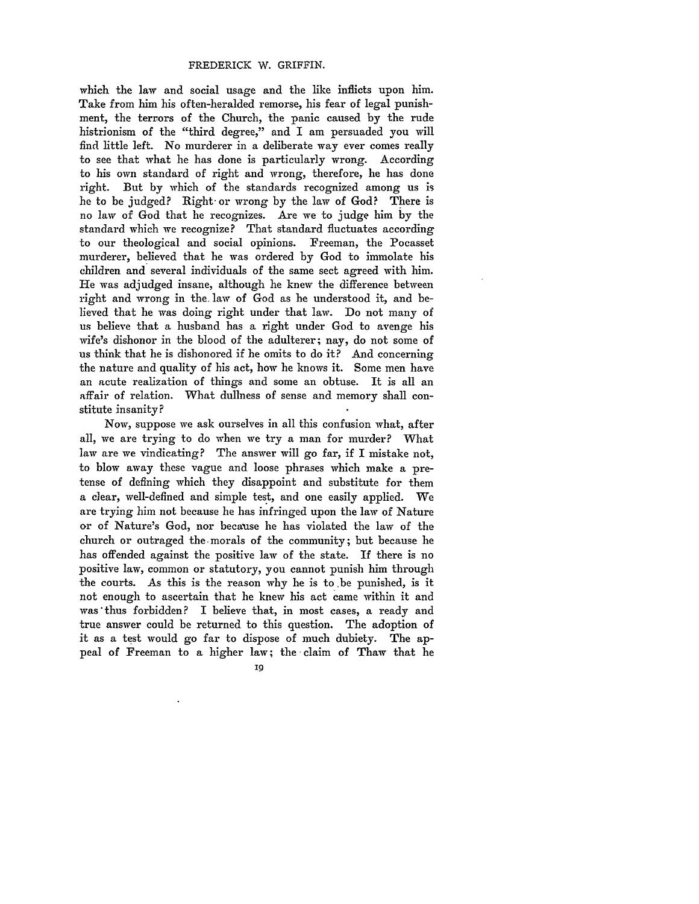which the law and social usage and the like inflicts upon him. Take from him his often-heralded remorse, his fear of legal punishment, the terrors of the Church, the panic caused by the rude histrionism of the "third degree," and I am persuaded you will find little left. No murderer in a deliberate way ever comes really to see that what he has done is particularly wrong. According to his own standard of right and wrong, therefore, he has done right. But by which of the standards recognized among us is he to be judged? Right or wrong by the law of God? There is no law of God that he recognizes. Are we to judge him by the standard which we recognize? That standard fluctuates according to our theological and social opinions. Freeman, the Pocasset murderer, believed that he was ordered by God to immolate his children and several individuals of the same sect agreed with him. He was adjudged insane, although he knew the difference between right and wrong in the. law of God as he understood it, and believed that he was doing right under that law. Do not many of us believe that a husband has a right under God to avenge his wife's dishonor in the blood of the adulterer; nay, do not some of us think that he is dishonored if he omits to do it? And concerning the nature and quality of his act, how he knows it. Some men have an acute realization of things and some an obtuse. It is all an affair of relation. What dullness of sense and memory shall constitute insanity?

Now, suppose we ask ourselves in all this confusion what, after all, we are trying to do when we try a man for murder? What law are we vindicating? The answer will go far, if I mistake not, to blow away these vague and loose phrases which make a pretense of defining which they disappoint and substitute for them a clear, well-defined and simple test, and one easily applied. We are trying him not because he has infringed upon the law of Nature or of Nature's God, nor because he has violated the law of the church or outraged the morals of the community; but because he has offended against the positive law of the state. If there is no positive law, common or statutory, you cannot punish him through the courts. As this is the reason why he is to be punished, is it not enough to ascertain that he knew his act came within it and was'thus forbidden? I believe that, in most cases, a ready and true answer could be returned to this question. The adoption of it as a test would go far to dispose of much dubiety. The appeal of Freeman to a higher law; the claim of Thaw that he

10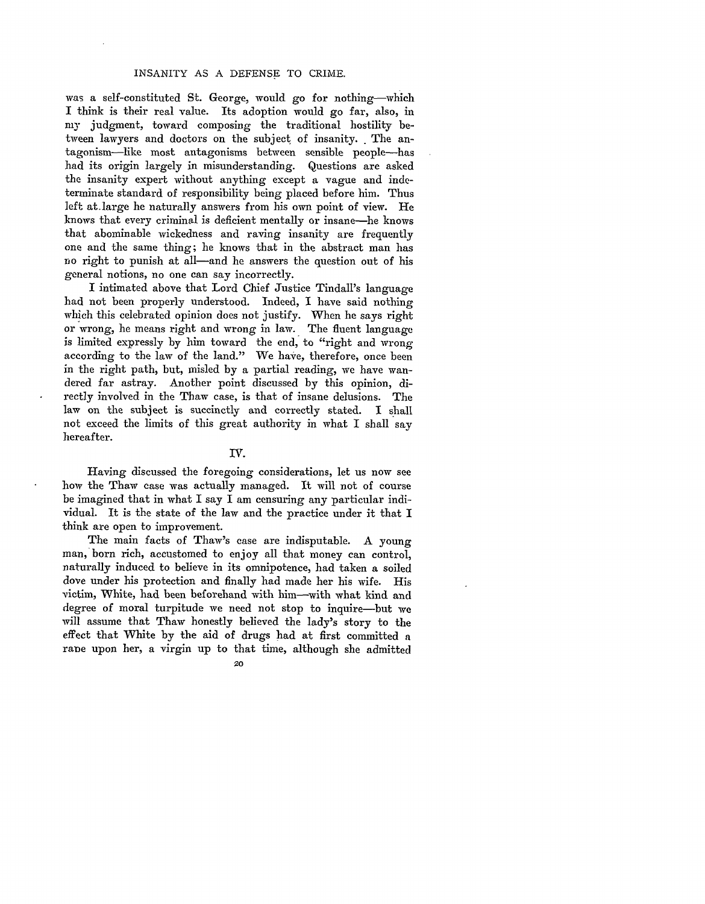#### INSANITY AS A DEFENSE TO CRIME.

was a self-constituted St. George, would go for nothing-which I think is their real value. Its adoption would go far, also, in my judgment, toward composing the traditional hostility between lawyers and doctors on the subject of insanity. The antagonism-like most antagonisms between sensible people-has had its origin largely in misunderstanding. Questions are asked the insanity expert without anything except a vague and indeterminate standard of responsibility being placed before him. Thus left at.large he naturally answers from his own point of view. He knows that every criminal is deficient mentally or insane-he knows that abominable wickedness and raving insanity are frequently one and the same thing; he knows that in the abstract man has no right to punish at all-and he answers the question out of his general notions, no one can say incorrectly.

I intimated above that Lord Chief Justice Tindall's language had not been properly understood. Indeed, I have said nothing which this celebrated opinion does not justify. When he says right or wrong, he means right and wrong in law. The fluent language is limited expressly by him toward the end, to "right and wrong according to the law of the land." We have, therefore, once been in the right path, but, misled by a partial reading, we have wandered far astray. Another point discussed by this opinion, directly involved in the Thaw case, is that of insane delusions. The law on the subject is succinctly and correctly stated. I shall not exceed the limits of this great authority in what I shall say hereafter.

#### IV.

Having discussed the foregoing considerations, let us now see how the Thaw case was actually managed. It will not of course be imagined that in what I say I am censuring any particular individual. It is the state of the law and the practice under it that I think are open to improvement.

The main facts of Thaw's case are indisputable. A young man, born rich, accustomed to enjoy all that money can control, naturally induced to believe in its omnipotence, had taken a soiled dove under his protection and finally had made her his wife. His victim, White, had been beforehand with him-with what kind and degree of moral turpitude we need not stop to inquire-but we will assume that Thaw honestly believed the lady's story to the effect that White **by** the aid of drugs had at first committed a rane upon her, a virgin up to that time, although she admitted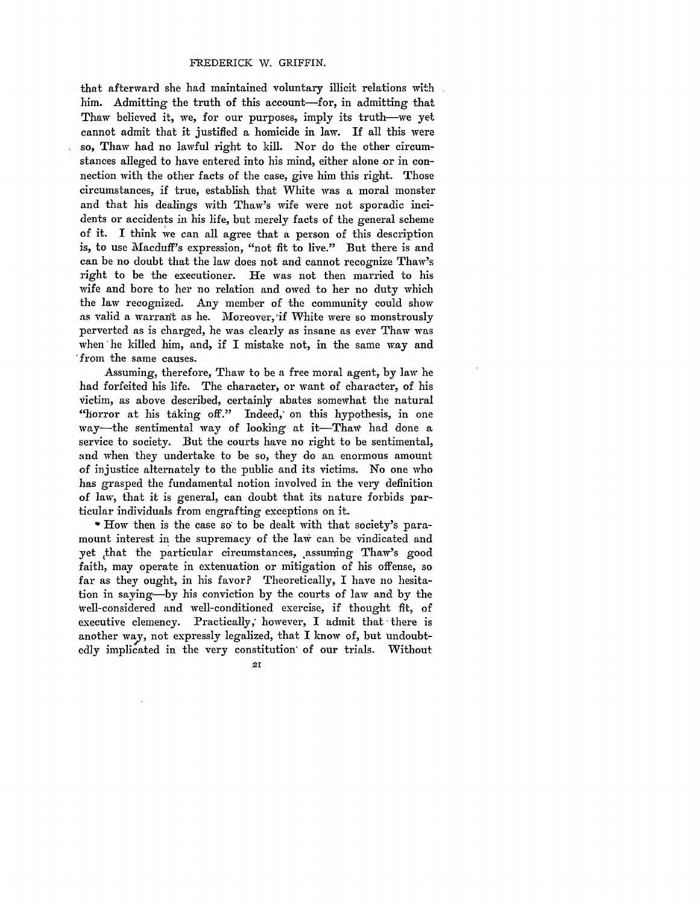that afterward she had maintained voluntary illicit relations with him. Admitting the truth of this account-for, in admitting that Thaw believed it, we, for our purposes, imply its truth-we yet cannot admit that it justified a homicide in law. If all this were so, Thaw had no lawful right to kill. Nor do the other circumstances alleged to have entered into his mind, either alone or in connection with the other facts of the case, give him this right. Those circumstances, if true, establish that White was a moral monster and that his dealings with Thaw's wife were not sporadic incidents or accidents in his life, but merely facts of the general scheme of it. I think we can all agree that a person of this description is, to use Macduff's expression, "not fit to live." But there is and can be no doubt that the law does not and cannot recognize Thaw's right to be the executioner. He was not then married to his wife and bore to her no relation and owed to her no duty which the law recognized. Any member of the community could show as valid a warrant as he. Moreover, if White were so monstrously perverted as is charged, he was clearly as insane as ever Thaw was when he killed him, and, if I mistake not, in the same way and 'from the same causes.

Assuming, therefore, Thaw to be a free moral agent, by law he had forfeited his life. The character, or want of character, of his victim, as above described, certainly abates somewhat the natural "horror at his taking off." Indeed, on this hypothesis, in one way-the sentimental way of looking at it-Thaw had done a service to society. But the courts have no right to be sentimental, and when they undertake to be so, they do an enormous amount of injustice alternately to the public and its victims. No one who has grasped the fundamental notion involved in the very definition of law, that it is general, can doubt that its nature forbids particular individuals from engrafting exceptions on it.

**,** How then is the case so to be dealt with that society's paramount interest in the supremacy of the law can be vindicated and yet ,that the particular circumstances, assuming Thaw's good faith, may operate in extenuation or mitigation of his offense, so far as they ought, in his favor? Theoretically, I have no hesitation in saying-by his conviction by the courts of law and by the well-considered and well-conditioned exercise, if thought fit, of executive clemency. Practically, however, I admit that there is another way, not expressly legalized, that I know of, but undoubtedly implicated in the very constitution' of our trials. Without

2I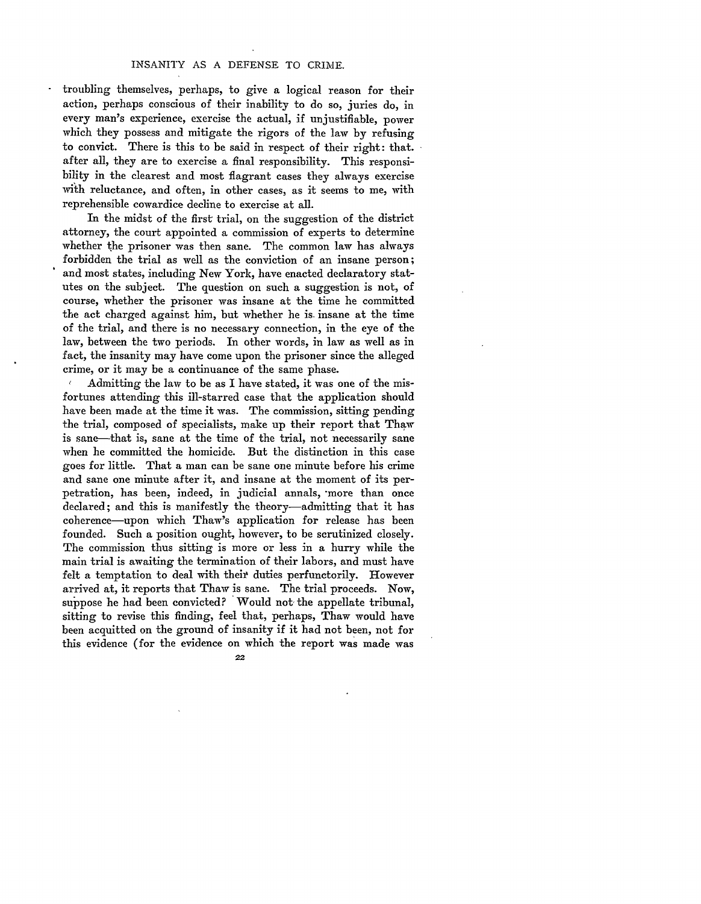troubling themselves, perhaps, to give a logical reason for their action, perhaps conscious of their inability to do so, juries do, in every man's experience, exercise the actual, if unjustifiable, power which they possess and mitigate the rigors of the law by refusing to convict. There is this to be said in respect of their right: that. after all, they are to exercise a final responsibility. This responsibility in the clearest and most flagrant cases they always exercise with reluctance, and often, in other cases, as it seems to me, with reprehensible cowardice decline to exercise at all.

In the midst of the first trial, on the suggestion of the district attorney, the court appointed a commission of experts to determine whether the prisoner was then sane. The common law has always forbidden the trial as well as the conviction of an insane person; and most states, including New York, have enacted declaratory statutes on the subject. The question on such a suggestion is not, of course, whether the prisoner was insane at the time he committed the act charged against him, but whether he is. insane at the time of the trial, and there is no necessary connection, in the eye of the law, between the two periods. In other words, in law as well as in fact, the insanity may have come upon the prisoner since the alleged crime, or it may be a continuance of the same phase.

Admitting the law to be as I have stated, it was one of the misfortunes attending this ill-starred case that the application should have been made at the time it was. The commission, sitting pending the trial, composed of specialists, make up their report that Thaw is sane-that is, sane at the time of the trial, not necessarily sane when he committed the homicide. But the distinction in this case goes for little. That a man can be sane one minute before his crime and sane one minute after it, and insane at the moment of its perpetration, has been, indeed, in judicial annals, more than once declared; and this is manifestly the theory-admitting that it has coherence-upon which Thaw's application for release has been founded. Such a position ought, however, to be scrutinized closely. The commission thus sitting is more or less in a hurry while the main trial is awaiting the termination of their labors, and must have felt a temptation to deal with their duties perfunctorily. However arrived at, it reports that Thaw is sane. The trial proceeds. Now, suppose he had been convicted? Would not the appellate tribunal, sitting to revise this finding, feel that, perhaps, Thaw would have been acquitted on the ground of insanity if it had not been, not for this evidence (for the evidence on which the report was made was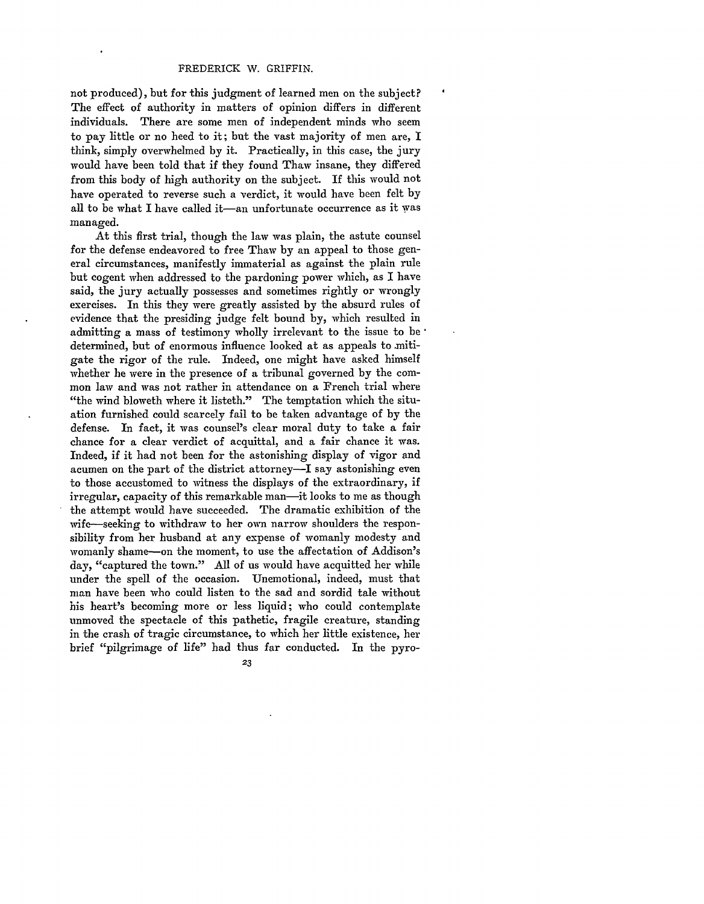not produced), but for this judgment of learned men on the subject? The effect of authority in matters of opinion differs in different individuals. There are some men of independent minds who seem to pay little or no heed to it; but the vast majority of men are, I think, simply overwhelmed by it. Practically, in this case, the jury would have been told that if they found Thaw insane, they differed from this body of high authority on the subject. If this would not have operated to reverse such a verdict, it would have been felt by all to be what I have called it-an unfortunate occurrence as it was managed.

At this first trial, though the law was plain, the astute counsel for the defense endeavored to free Thaw by an appeal to those general circumstances, manifestly immaterial as against the plain rule but cogent when addressed to the pardoning power which, as I have said, the jury actually possesses and sometimes rightly or wrongly exercises. In this they were greatly assisted by the absurd rules of evidence that the presiding judge felt bound by, which resulted in admitting a mass of testimony wholly irrelevant to the issue to be' determined, but of enormous influence looked at as appeals to mitigate the rigor of the rule. Indeed, one might have asked himself whether he were in the presence of a tribunal governed by the common law and was not rather in attendance on a French trial where "the wind bloweth where it listeth." The temptation which the situation furnished could scarcely fail to be taken advantage of by the defense. In fact, it was counsel's clear moral duty to take a fair chance for a clear verdict of acquittal, and a fair chance it was. Indeed, if it had not been for the astonishing display of vigor and acumen on the part of the district attorney-I say astonishing even to those accustomed to witness the displays of the extraordinary, if irregular, capacity of this remarkable man—it looks to me as though the attempt would have succeeded. The dramatic exhibition of the wife-seeking to withdraw to her own narrow shoulders the responsibility from her husband at any expense of womanly modesty and womanly shame-on the moment, to use the affectation of Addison's day, "captured the town." All of us would have acquitted her while under the spell of the occasion. Unemotional, indeed, must that man have been who could listen to the sad and sordid tale without his heart's becoming more or less liquid; who could contemplate unmoved the spectacle of this pathetic, fragile creature, standing in the crash of tragic circumstance, to which her little existence, her brief "pilgrimage of life" had thus far conducted. In the pyro-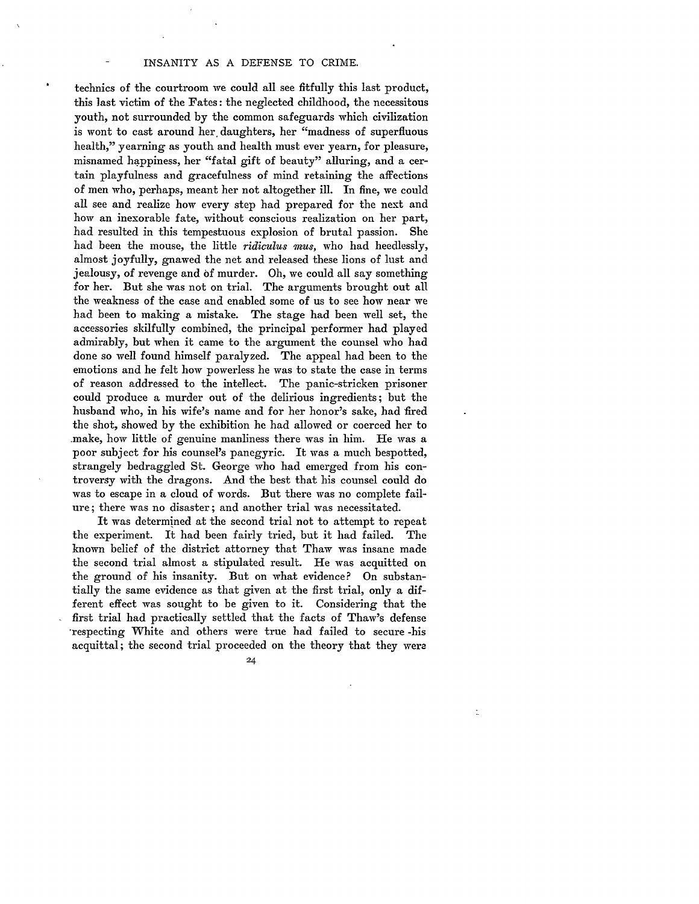#### INSANITY AS A DEFENSE TO CRIME.

technics of the courtroom we could all see fitfully this last product, this last victim of the Fates: the neglected childhood, the necessitous youth, not surrounded **by** the common safeguards which civilization is wont to cast around her daughters, her "madness of superfluous health," yearning as youth and health must ever yearn, for pleasure, misnamed happiness, her "fatal gift of beauty" alluring, and a certain playfulness and gracefulness of mind retaining the affections of men who, perhaps, meant her not altogether ill. In fine, we could all see and realize how every step had prepared for the next and how an inexorable fate, without conscious realization on her part, had resulted in this tempestuous explosion of brutal passion. She **had** been the mouse, the little *ridiculus mus,* who had heedlessly, almost joyfully, gnawed the net and released these lions of lust and jealousy, of revenge and of murder. Oh, we could all say something for her. But she was not on trial. The arguments brought out all the weakness of the case and enabled some of us to see how near we had been to making a mistake. The stage had been well set, the accessories skilfully combined, the principal performer had played admirably, but when it came to the argument the counsel who had done so well found himself paralyzed. The appeal had been to the emotions and he felt how powerless he was to state the case in terms of reason addressed to the intellect. The panic-stricken prisoner could produce a murder out of the delirious ingredients; but the husband who, in his wife's name and for her honor's sake, had fired the shot, showed **by** the exhibition he had allowed or coerced her to .make, how little of genuine manliness there was in him. He was a poor subject for his counsel's panegyric. It was a much bespotted, strangely bedraggled St. George who had emerged from his controversy with the dragons. And the best that his counsel could do was to escape in a cloud of words. But there was no complete failure; there was no disaster; and another trial was necessitated.

It was determined at the second trial not to attempt to repeat the experiment. It had been fairly tried, but it **had** failed. The known belief of the district attorney that Thaw was insane made the second trial almost a stipulated result. He was acquitted on the ground of his insanity. But on what evidence? On substantially the same evidence as that given at the first trial, only a different effect was sought to be given to it. Considering that the first trial had practically settled that the facts of Thaw's defense 'respecting White and others were true had failed to secure -his acquittal; the second trial proceeded on the theory that they were

ċ.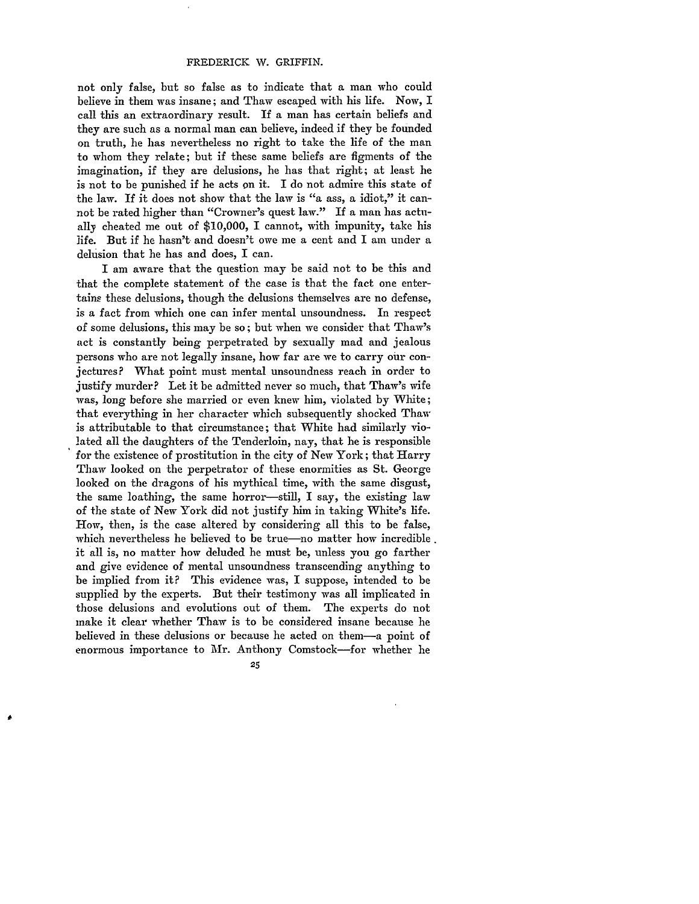#### FREDERICK W. GRIFFIN.

not only false, but so false as to indicate that a man who could believe in them was insane; and Thaw escaped with his life. Now, I call this an extraordinary result. If a man has certain beliefs and they are such as a normal man can believe, indeed if they be founded on truth, he has nevertheless no right to take the life of the man to whom they relate; but if these same beliefs are figments of the imagination, if they are delusions, he has that right; at least he is not to be punished if he acts on it. I do not admire this state of the law. If it does not show that the law is "a ass, a idiot," it cannot be rated higher than "Crowner's quest law." If a man has actually cheated me out of \$10,000, I cannot, with impunity, take his life. But if he hasn't and doesn't owe me a cent and I am under a delusion that he has and does, I can.

I am aware that the question may be said not to be this and that the complete statement of the case is that the fact one entertains these delusions, though the delusions themselves are no defense, is a fact from which one can infer mental unsoundness. In respect of some delusions, this may be so; but when we consider that Thaw's act is constantly being perpetrated by sexually mad and jealous persons who are not legally insane, how far are we to carry our conjectures? What point must mental unsoundness reach in order to justify murder? Let it be admitted never so much, that Thaw's wife was, long before she married or even knew him, violated by White; that everything in her character which subsequently shocked Thaw is attributable to that circumstance; that White had similarly violated all the daughters of the Tenderloin, nay, that he is responsible for the existence of prostitution in the city of New York; that Harry Thaw looked on the perpetrator of these enormities as St. George looked on the dragons of his mythical time, with the same disgust, the same loathing, the same horror-still, I say, the existing law of the state of New York did not justify him in taking White's life. How, then, is the case altered by considering all this to be false, which nevertheless he believed to be true-no matter how incredible. it all is, no matter how deluded he must be, unless you go farther and give evidence of mental unsoundness transcending anything to be implied from it? This evidence was, I suppose, intended to be supplied by the experts. But their testimony was all implicated in those delusions and evolutions out of them. The experts do not make it clear whether Thaw is to be considered insane because he believed in these delusions or because he acted on them-a point of enormous importance to Mr. Anthony Comstock-for whether he

25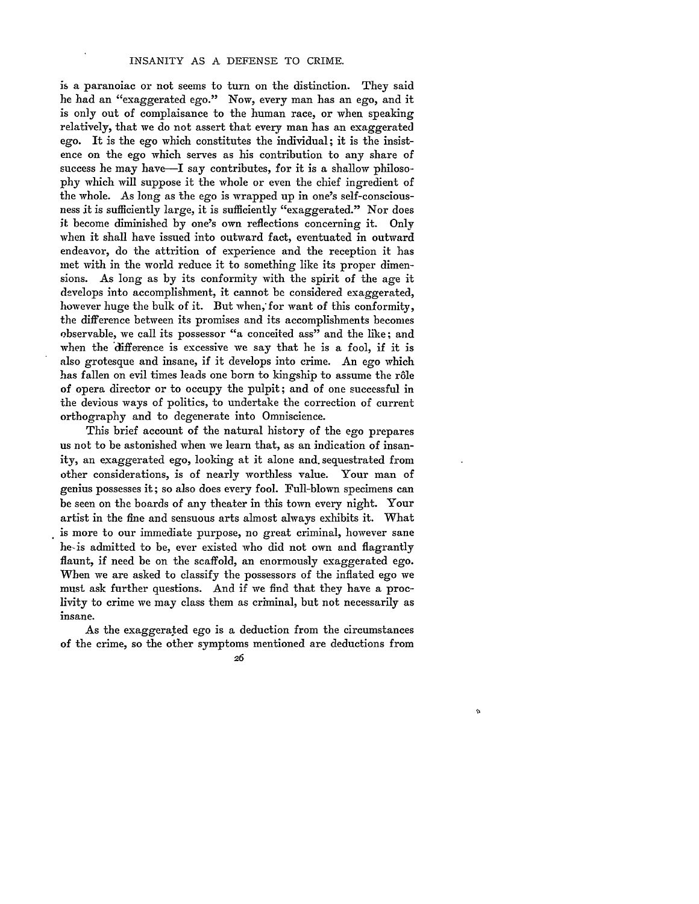is a paranoiac or not seems to turn on the distinction. They said he had an "exaggerated ego." Now, every man has an ego, and it is only out of complaisance to the human race, or when speaking relatively, that we do not assert that every man has an exaggerated ego. It is the ego which constitutes the individual; it is the insistence on the ego which serves as his contribution to any share of success he may have-I say contributes, for it is a shallow philosophy which will suppose it the whole or even the chief ingredient of the whole. As long as the ego is wrapped up in one's self-consciousness it is sufficiently large, it is sufficiently "exaggerated." Nor does it become diminished by one's own reflections concerning it. Only when it shall have issued into outward fact, eventuated in outward endeavor, do the attrition of experience and the reception it has met with in the world reduce it to something like its proper dimensions. As long as by its conformity with the spirit of the age it develops into accomplishment, it cannot be considered exaggerated, however huge the bulk of it. But when, for want of this conformity, the difference between its promises and its accomplishments becomes observable, we call its possessor "a conceited ass" and the like; and when the difference is excessive we say that he is a fool, if it is also grotesque and insane, if it develops into crime. An ego which has fallen on evil times leads one born to kingship to assume the rôle of opera director or to occupy the pulpit; and of one successful in the devious ways of politics, to undertake the correction of current orthography and to degenerate into Omniscience.

This brief account of the natural history of the ego prepares us not to be astonished when we learn that, as an indication of insanity, an exaggerated ego, looking at it alone and. sequestrated from other considerations, is of nearly worthless value. Your man of genius possesses it; so also does every fool. Full-blown specimens can be seen on the boards of any theater in this town every night. Your artist in the fine and sensuous arts almost always exhibits it. What is more to our immediate purpose, no great criminal, however sane he-is admitted to be, ever existed who did not own and flagrantly flaunt, if need be on the scaffold, an enormously exaggerated ego. When we are asked to classify the possessors of the inflated ego we must ask further questions. And if we find that they have a proclivity to crime we may class them as criminal, but not necessarily as insane.

As the exaggerated ego is a deduction from the circumstances of the crime, so the other symptoms mentioned are deductions from

#### 26

 $\mathbf{\hat{u}}$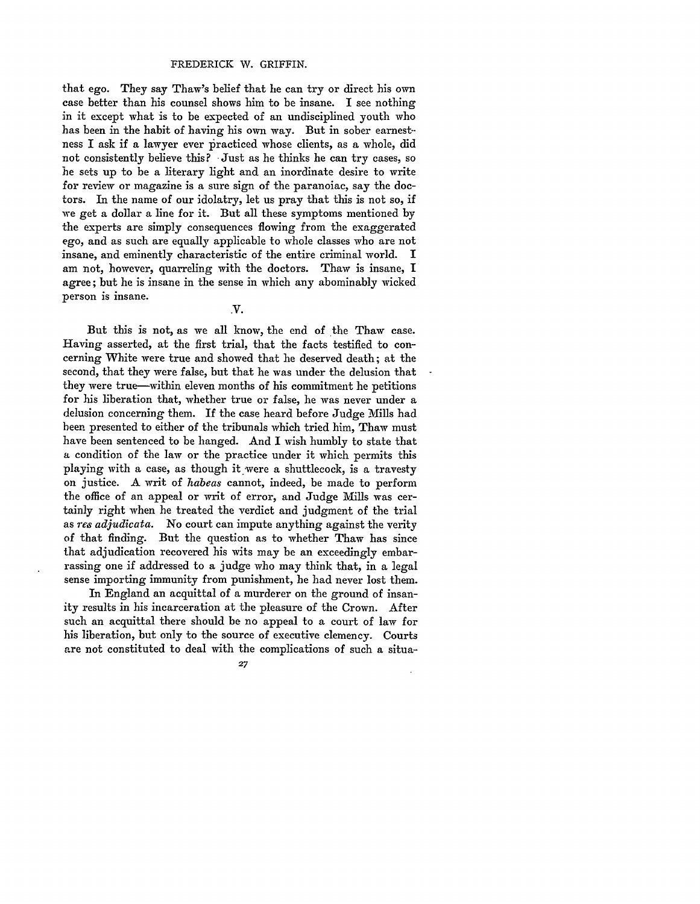#### FREDERICK W. GRIFFIN.

that ego. They say Thaw's belief that he can try or direct his own case better than his counsel shows him to be insane. I see nothing in it except what is to be expected of an undisciplined youth who has been in the habit of having his own way. But in sober earnest-ness I ask if a lawyer ever practiced whose clients, as a whole, did not consistently believe this? Just as he thinks he can try cases, so he sets up to be a literary light and an inordinate desire to write for review or magazine is a sure sign of the paranoiac, say the doctors. In the name of our idolatry, let us pray that this is not so, if we get a dollar a line for it. But all these symptoms mentioned by the experts are simply consequences flowing from the exaggerated ego, and as such are equally applicable to whole classes who are not insane, and eminently characteristic of the entire criminal world. I am not, however, quarreling with the doctors. Thaw is insane, I agree; but he is insane in the sense in which any abominably wicked person is insane.

*.v.*

But this is not, as we all know, the end of the Thaw case. Having asserted, at the first trial, that the facts testified to concerning White were true and showed that he deserved death; at the second, that they were false, but that he was under the delusion that they were true-within eleven months of his commitment he petitions for his liberation that, whether true or false, he was never under a delusion concerning them. If the case heard before Judge Mills had been presented to either of the tribunals which tried him, Thaw must have been sentenced to be hanged. And I wish humbly to state that a condition of the law or the practice under it which permits this playing with a case, as though it-were a shuttlecock, is a travesty on justice. A writ of *habeas* cannot, indeed, be made to perform the office of an appeal or writ of error, and Judge Mills was certainly right when he treated the verdict and judgment of the trial as res adjudicata. No court can impute anything against the verity of that finding. But the question as to whether Thaw has since that adjudication recovered his wits may be an exceedingly embarrassing one if addressed to a judge who may think that, in a legal sense importing immunity from punishment, he had never lost them.

In England an acquittal of a murderer on the ground of insanity results in his incarceration at the pleasure of the Crown. After such an acquittal there should be no appeal to a court of law for his liberation, but only to the source of executive clemency. Courts are not constituted to deal with the complications of such a situa-